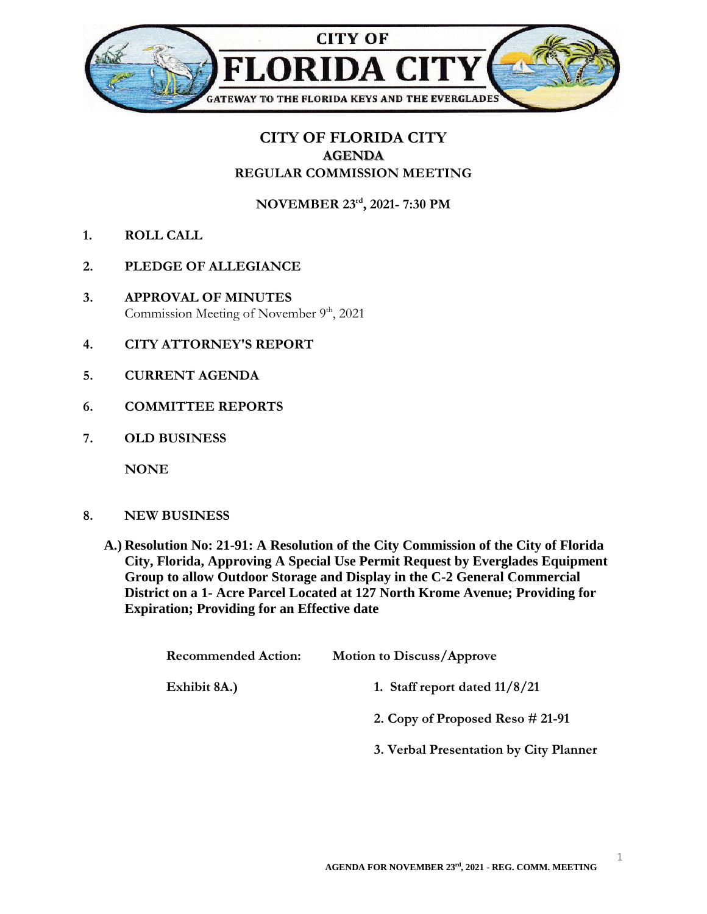

## **CITY OF FLORIDA CITY AGENDA REGULAR COMMISSION MEETING**

**NOVEMBER 23rd , 2021- 7:30 PM**

- **1. ROLL CALL**
- **2. PLEDGE OF ALLEGIANCE**
- **3. APPROVAL OF MINUTES** Commission Meeting of November  $9<sup>th</sup>$ , 2021
- **4. CITY ATTORNEY'S REPORT**
- **5. CURRENT AGENDA**
- **6. COMMITTEE REPORTS**
- **7. OLD BUSINESS**

**NONE**

- **8. NEW BUSINESS**
	- **A.) Resolution No: 21-91: A Resolution of the City Commission of the City of Florida City, Florida, Approving A Special Use Permit Request by Everglades Equipment Group to allow Outdoor Storage and Display in the C-2 General Commercial District on a 1- Acre Parcel Located at 127 North Krome Avenue; Providing for Expiration; Providing for an Effective date**

| <b>Recommended Action:</b> | <b>Motion to Discuss/Approve</b>       |
|----------------------------|----------------------------------------|
| Exhibit 8A.)               | 1. Staff report dated $11/8/21$        |
|                            | 2. Copy of Proposed Reso $\# 21-91$    |
|                            | 3. Verbal Presentation by City Planner |

1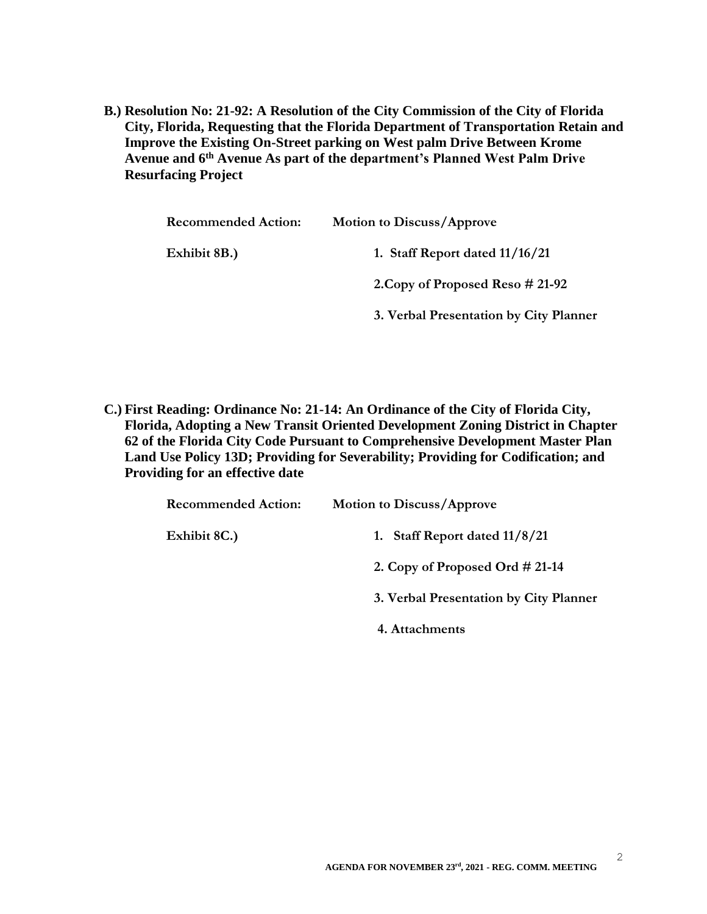**B.) Resolution No: 21-92: A Resolution of the City Commission of the City of Florida City, Florida, Requesting that the Florida Department of Transportation Retain and Improve the Existing On-Street parking on West palm Drive Between Krome Avenue and 6th Avenue As part of the department's Planned West Palm Drive Resurfacing Project**

| <b>Recommended Action:</b> | <b>Motion to Discuss/Approve</b>       |
|----------------------------|----------------------------------------|
| Exhibit 8B.)               | 1. Staff Report dated $11/16/21$       |
|                            | 2. Copy of Proposed Reso # 21-92       |
|                            | 3. Verbal Presentation by City Planner |

**C.) First Reading: Ordinance No: 21-14: An Ordinance of the City of Florida City, Florida, Adopting a New Transit Oriented Development Zoning District in Chapter 62 of the Florida City Code Pursuant to Comprehensive Development Master Plan Land Use Policy 13D; Providing for Severability; Providing for Codification; and Providing for an effective date**

| <b>Recommended Action:</b> | <b>Motion to Discuss/Approve</b>       |
|----------------------------|----------------------------------------|
| Exhibit 8C.)               | 1. Staff Report dated $11/8/21$        |
|                            | 2. Copy of Proposed Ord $\#$ 21-14     |
|                            | 3. Verbal Presentation by City Planner |
|                            | 4. Attachments                         |